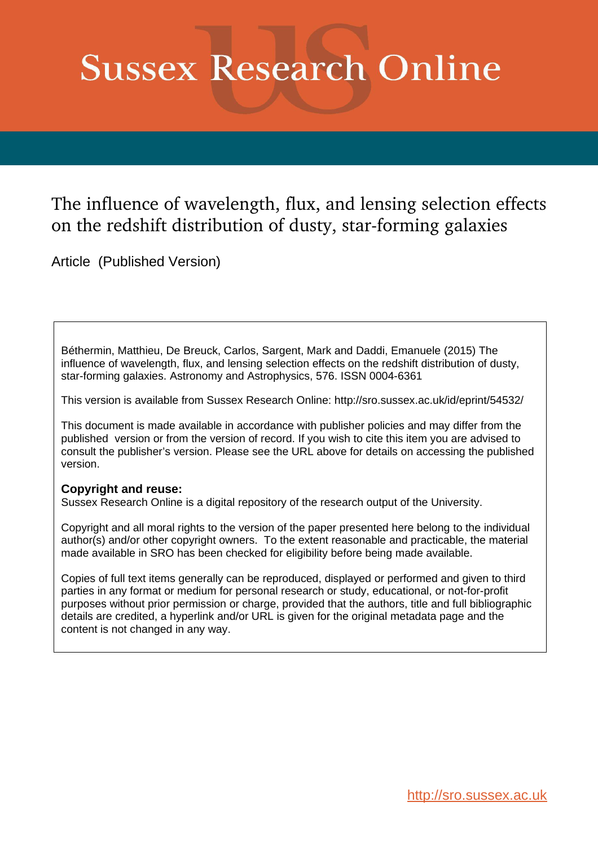# **Sussex Research Online**

## The influence of wavelength, flux, and lensing selection effects on the redshift distribution of dusty, star-forming galaxies

Article (Published Version)

Béthermin, Matthieu, De Breuck, Carlos, Sargent, Mark and Daddi, Emanuele (2015) The influence of wavelength, flux, and lensing selection effects on the redshift distribution of dusty, star-forming galaxies. Astronomy and Astrophysics, 576. ISSN 0004-6361

This version is available from Sussex Research Online: http://sro.sussex.ac.uk/id/eprint/54532/

This document is made available in accordance with publisher policies and may differ from the published version or from the version of record. If you wish to cite this item you are advised to consult the publisher's version. Please see the URL above for details on accessing the published version.

### **Copyright and reuse:**

Sussex Research Online is a digital repository of the research output of the University.

Copyright and all moral rights to the version of the paper presented here belong to the individual author(s) and/or other copyright owners. To the extent reasonable and practicable, the material made available in SRO has been checked for eligibility before being made available.

Copies of full text items generally can be reproduced, displayed or performed and given to third parties in any format or medium for personal research or study, educational, or not-for-profit purposes without prior permission or charge, provided that the authors, title and full bibliographic details are credited, a hyperlink and/or URL is given for the original metadata page and the content is not changed in any way.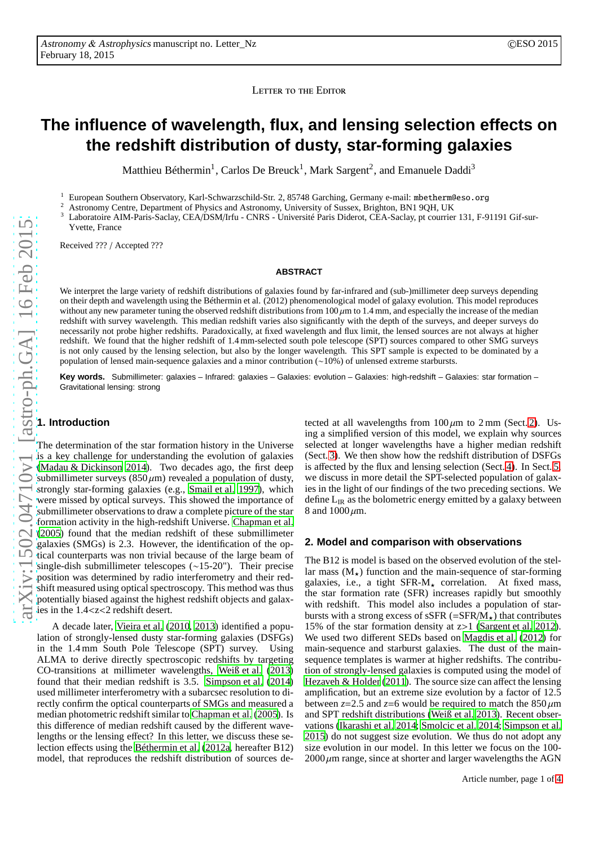LETTER TO THE EDITOR

## **The influence of wavelength, flux, and lensing selection effects on the redshift distribution of dusty, star-forming galaxies**

Matthieu Béthermin<sup>1</sup>, Carlos De Breuck<sup>1</sup>, Mark Sargent<sup>2</sup>, and Emanuele Daddi<sup>3</sup>

<sup>1</sup> European Southern Observatory, Karl-Schwarzschild-Str. 2, 85748 Garching, Germany e-mail: mbetherm@eso.org  $\frac{2}{3}$  Astronomy Control Department of Physics and Astronomy University of Sussex, Brighton, PN1, 0OU UK

<sup>2</sup> Astronomy Centre, Department of Physics and Astronomy, University of Sussex, Brighton, BN1 9QH, UK

Laboratoire AIM-Paris-Saclay, CEA/DSM/Irfu - CNRS - Université Paris Diderot, CEA-Saclay, pt courrier 131, F-91191 Gif-sur-Yvette, France

Received ??? / Accepted ???

#### **ABSTRACT**

We interpret the large variety of redshift distributions of galaxies found by far-infrared and (sub-)millimeter deep surveys depending on their depth and wavelength using the Béthermin et al. (2012) phenomenological model of galaxy evolution. This model reproduces without any new parameter tuning the observed redshift distributions from  $100 \mu m$  to  $1.4 \text{ mm}$ , and especially the increase of the median redshift with survey wavelength. This median redshift varies also significantly with the depth of the surveys, and deeper surveys do necessarily not probe higher redshifts. Paradoxically, at fixed wavelength and flux limit, the lensed sources are not always at higher redshift. We found that the higher redshift of 1.4 mm-selected south pole telescope (SPT) sources compared to other SMG surveys is not only caused by the lensing selection, but also by the longer wavelength. This SPT sample is expected to be dominated by a population of lensed main-sequence galaxies and a minor contribution (∼10%) of unlensed extreme starbursts.

**Key words.** Submillimeter: galaxies – Infrared: galaxies – Galaxies: evolution – Galaxies: high-redshift – Galaxies: star formation – Gravitational lensing: strong

#### **1. Introduction**

The determination of the star formation history in the Universe is a key challenge for understanding the evolution of galaxies [\(Madau & Dickinson 2014\)](#page-4-0). Two decades ago, the first deep submillimeter surveys ( $850 \mu m$ ) revealed a population of dusty, strongly star-forming galaxies (e.g., [Smail et al. 1997\)](#page-4-1), which were missed by optical surveys. This showed the importance of submillimeter observations to draw a complete picture of the star formation activity in the high-redshift Universe. [Chapman](#page-4-2) et al. [\(2005](#page-4-2)) found that the median redshift of these submillimeter galaxies (SMGs) is 2.3. However, the identification of the optical counterparts was non trivial because of the large beam of single-dish submillimeter telescopes (∼15-20"). Their precise position was determined by radio interferometry and their redshift measured using optical spectroscopy. This method was thus potentially biased against the highest redshift objects and galaxies in the 1.4<z<2 redshift desert.

A decade later, [Vieira et al.](#page-4-3) [\(2010,](#page-4-3) [2013\)](#page-4-4) identified a population of strongly-lensed dusty star-forming galaxies (DSFGs) in the 1.4 mm South Pole Telescope (SPT) survey. Using ALMA to derive directly spectroscopic redshifts by targeting CO-transitions at millimeter wavelengths, [Weiß et al.](#page-4-5) [\(2013\)](#page-4-5) found that their median redshift is 3.5. [Simpson et al.](#page-4-6) [\(2014\)](#page-4-6) used millimeter interferometry with a subarcsec resolution to directly confirm the optical counterparts of SMGs and measured a median photometric redshift similar to [Chapman et al. \(2005](#page-4-2)). Is this difference of median redshift caused by the different wavelengths or the lensing effect? In this letter, we discuss these selection effects using the [Béthermin et al. \(2012a,](#page-4-7) hereafter B12) model, that reproduces the redshift distribution of sources de-

tected at all wavelengths from  $100 \mu m$  to  $2 \text{ mm}$  (Sect. [2\)](#page-1-0). Using a simplified version of this model, we explain why sources selected at longer wavelengths have a higher median redshift (Sect. [3\)](#page-2-0). We then show how the redshift distribution of DSFGs is affected by the flux and lensing selection (Sect. [4\)](#page-3-0). In Sect. [5,](#page-3-1) we discuss in more detail the SPT-selected population of galaxies in the light of our findings of the two preceding sections. We define  $L_{IR}$  as the bolometric energy emitted by a galaxy between 8 and  $1000 \mu m$ .

#### <span id="page-1-0"></span>**2. Model and comparison with observations**

The B12 is model is based on the observed evolution of the stellar mass  $(M_{\star})$  function and the main-sequence of star-forming galaxies, i.e., a tight  $SFR-M<sub>+</sub>$  correlation. At fixed mass, the star formation rate (SFR) increases rapidly but smoothly with redshift. This model also includes a population of starbursts with a strong excess of sSFR  $(=\text{SFR}/M_{\star})$  that contributes 15% of the star formation density at z>1 [\(Sargent et al. 2012\)](#page-4-8). We used two different SEDs based on [Magdis et al. \(2012](#page-4-9)) for main-sequence and starburst galaxies. The dust of the mainsequence templates is warmer at higher redshifts. The contribution of strongly-lensed galaxies is computed using the model of [Hezaveh & Holder](#page-4-10) [\(2011\)](#page-4-10). The source size can affect the lensing amplification, but an extreme size evolution by a factor of 12.5 between  $z=2.5$  and  $z=6$  would be required to match the  $850 \mu m$ and SPT redshift distributions [\(Weiß et al. 2013](#page-4-5)). Recent observations [\(Ikarashi et al. 2014](#page-4-11); [Smolcic et al. 2014;](#page-4-12) [Simpson et al.](#page-4-13) [2015\)](#page-4-13) do not suggest size evolution. We thus do not adopt any size evolution in our model. In this letter we focus on the 100-  $2000 \mu m$  range, since at shorter and larger wavelengths the AGN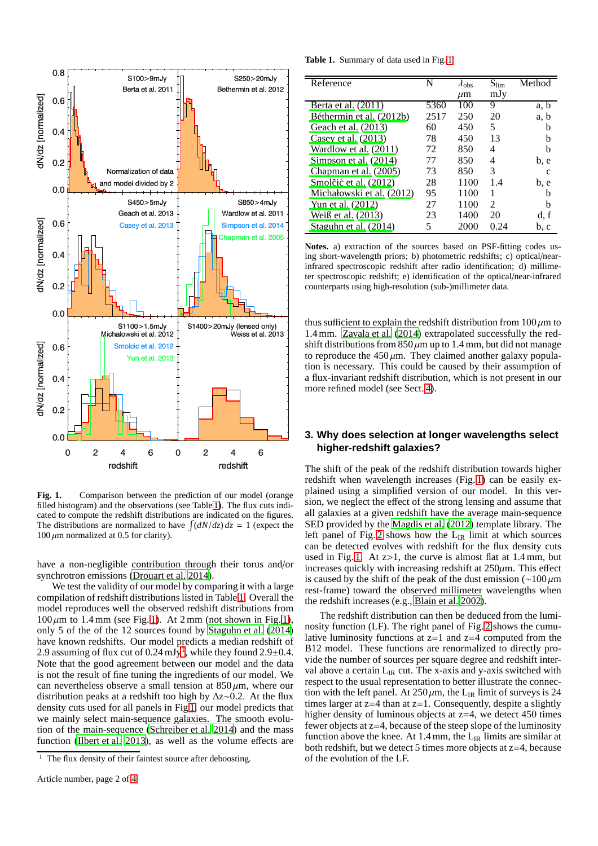

<span id="page-2-2"></span>**Fig. 1.** Comparison between the prediction of our model (orange filled histogram) and the observations (see Table [1\)](#page-2-1). The flux cuts indicated to compute the redshift distributions are indicated on the figures. The distributions are normalized to have  $\int (dN/dz) dz = 1$  (expect the  $100 \mu m$  normalized at 0.5 for clarity).

have a non-negligible contribution through their torus and/or synchrotron emissions [\(Drouart et al. 2014](#page-4-14)).

We test the validity of our model by comparing it with a large compilation of redshift distributions listed in Table [1.](#page-2-1) Overall the model reproduces well the observed redshift distributions from  $100 \mu m$  to 1.4 mm (see Fig. [1\)](#page-2-2). At 2 mm (not shown in Fig. 1), only 5 of the of the 12 sources found by [Staguhn et al.](#page-4-15) [\(2014\)](#page-4-15) have known redshifts. Our model predicts a median redshift of 2.9 assuming of flux cut of 0.24 mJy<sup>[1](#page-2-3)</sup>, while they found 2.9 $\pm$ 0.4. Note that the good agreement between our model and the data is not the result of fine tuning the ingredients of our model. We can nevertheless observe a small tension at  $850 \mu m$ , where our distribution peaks at a redshift too high by ∆z∼0.2. At the flux density cuts used for all panels in Fig [1,](#page-2-2) our model predicts that we mainly select main-sequence galaxies. The smooth evolution of the main-sequence [\(Schreiber et al. 2014\)](#page-4-16) and the mass function [\(Ilbert et al. 2013\)](#page-4-17), as well as the volume effects are

**Table 1.** Summary of data used in Fig. [1](#page-2-2)

<span id="page-2-1"></span>

| Reference                 |      | $\lambda_{\rm obs}$ | $S_{\rm lim}$  | Method |
|---------------------------|------|---------------------|----------------|--------|
|                           |      | $\mu$ m             | mJy            |        |
| Berta et al. (2011)       | 5360 | 100                 | 9              | a, b   |
| Béthermin et al. (2012b)  | 2517 | 250                 | 20             | a, b   |
| Geach et al. (2013)       | 60   | 450                 | 5              | h      |
| Casey et al. $(2013)$     | 78   | 450                 | 13             | h      |
| Wardlow et al. $(2011)$   | 72   | 850                 | 4              | h      |
| Simpson et al. (2014)     | 77   | 850                 | 4              | b, e   |
| Chapman et al. (2005)     | 73   | 850                 | 3              | C      |
| Smolčić et al. (2012)     | 28   | 1100                | 1.4            | b, e   |
| Michałowski et al. (2012) | 95   | 1100                | 1              | h      |
| Yun et al. (2012)         | 27   | 1100                | $\mathfrak{D}$ | h      |
| Weiß et al. $(2013)$      | 23   | 1400                | 20             | d, f   |
| Staguhn et al. (2014)     | 5    | 2000                | 0.24           | b, c   |

**Notes.** a) extraction of the sources based on PSF-fitting codes using short-wavelength priors; b) photometric redshifts; c) optical/nearinfrared spectroscopic redshift after radio identification; d) millimeter spectroscopic redshift; e) identification of the optical/near-infrared counterparts using high-resolution (sub-)millimeter data.

thus sufficient to explain the redshift distribution from  $100 \mu m$  to 1.4 mm. [Zavala et al. \(2014\)](#page-4-26) extrapolated successfully the redshift distributions from  $850 \mu m$  up to 1.4 mm, but did not manage to reproduce the  $450 \mu m$ . They claimed another galaxy population is necessary. This could be caused by their assumption of a flux-invariant redshift distribution, which is not present in our more refined model (see Sect. [4\)](#page-3-0).

#### <span id="page-2-0"></span>**3. Why does selection at longer wavelengths select higher-redshift galaxies?**

The shift of the peak of the redshift distribution towards higher redshift when wavelength increases (Fig. [1\)](#page-2-2) can be easily explained using a simplified version of our model. In this version, we neglect the effect of the strong lensing and assume that all galaxies at a given redshift have the average main-sequence SED provided by the [Magdis et al. \(2012\)](#page-4-9) template library. The left panel of Fig. [2](#page-3-2) shows how the  $L_{IR}$  limit at which sources can be detected evolves with redshift for the flux density cuts used in Fig. [1.](#page-2-2) At z>1, the curve is almost flat at 1.4 mm, but increases quickly with increasing redshift at  $250\mu$ m. This effect is caused by the shift of the peak of the dust emission ( $\sim$ 100 µm rest-frame) toward the observed millimeter wavelengths when the redshift increases (e.g., [Blain et al. 2002\)](#page-4-27).

The redshift distribution can then be deduced from the luminosity function (LF). The right panel of Fig. [2](#page-3-2) shows the cumulative luminosity functions at  $z=1$  and  $z=4$  computed from the B12 model. These functions are renormalized to directly provide the number of sources per square degree and redshift interval above a certain  $L_{IR}$  cut. The x-axis and y-axis switched with respect to the usual representation to better illustrate the connection with the left panel. At  $250 \mu m$ , the L<sub>IR</sub> limit of surveys is 24 times larger at  $z=4$  than at  $z=1$ . Consequently, despite a slightly higher density of luminous objects at  $z=4$ , we detect 450 times fewer objects at z=4, because of the steep slope of the luminosity function above the knee. At 1.4 mm, the  $L_{IR}$  limits are similar at both redshift, but we detect 5 times more objects at z=4, because of the evolution of the LF.

<span id="page-2-3"></span> $1$  The flux density of their faintest source after deboosting.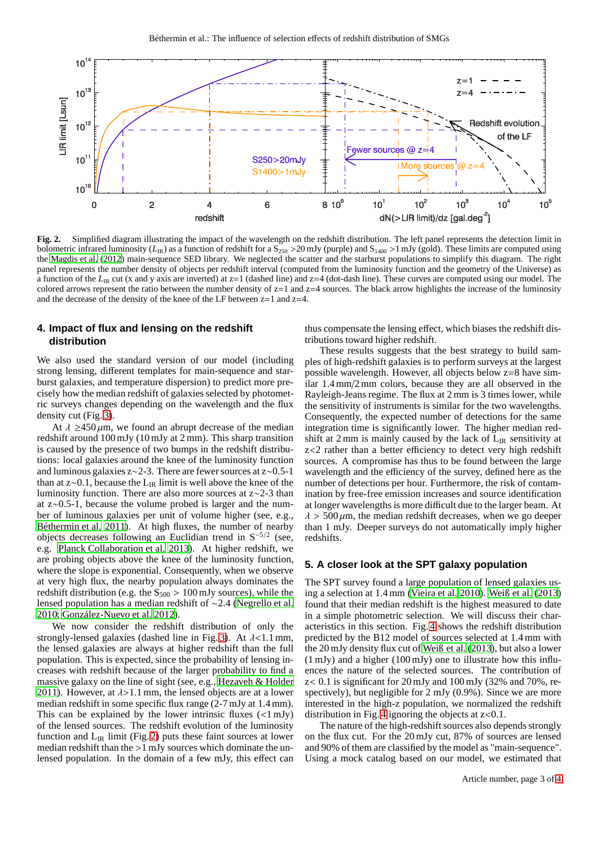

<span id="page-3-2"></span>**Fig. 2.** Simplified diagram illustrating the impact of the wavelength on the redshift distribution. The left panel represents the detection limit in bolometric infrared luminosity ( $L_{IR}$ ) as a function of redshift for a S<sub>250</sub> >20 mJy (purple) and S<sub>1400</sub> >1 mJy (gold). These limits are computed using the [Magdis et al. \(2012\)](#page-4-9) main-sequence SED library. We neglected the scatter and the starburst populations to simplify this diagram. The right panel represents the number density of objects per redshift interval (computed from the luminosity function and the geometry of the Universe) as a function of the  $L_{IR}$  cut (x and y axis are inverted) at  $z=1$  (dashed line) and  $z=4$  (dot-dash line). These curves are computed using our model. The colored arrows represent the ratio between the number density of z=1 and z=4 sources. The black arrow highlights the increase of the luminosity and the decrease of the density of the knee of the LF between  $z=1$  and  $z=4$ .

#### <span id="page-3-0"></span>**4. Impact of flux and lensing on the redshift distribution**

We also used the standard version of our model (including strong lensing, different templates for main-sequence and starburst galaxies, and temperature dispersion) to predict more precisely how the median redshift of galaxies selected by photometric surveys changes depending on the wavelength and the flux density cut (Fig. [3\)](#page-4-28).

At  $\lambda \geq 450 \,\mu$ m, we found an abrupt decrease of the median redshift around 100 mJy (10 mJy at 2 mm). This sharp transition is caused by the presence of two bumps in the redshift distributions: local galaxies around the knee of the luminosity function and luminous galaxies z∼2-3. There are fewer sources at z∼0.5-1 than at z∼0.1, because the LIR limit is well above the knee of the luminosity function. There are also more sources at z∼2-3 than at z∼0.5-1, because the volume probed is larger and the number of luminous galaxies per unit of volume higher (see, e.g., [Béthermin et al. 2011\)](#page-4-29). At high fluxes, the number of nearby objects decreases following an Euclidian trend in S−5/<sup>2</sup> (see, e.g. [Planck Collaboration et al. 2013\)](#page-4-30). At higher redshift, we are probing objects above the knee of the luminosity function, where the slope is exponential. Consequently, when we observe at very high flux, the nearby population always dominates the redshift distribution (e.g. the  $S_{500} > 100$  mJy sources), while the lensed population has a median redshift of ∼2.4 [\(Negrello et al.](#page-4-31) [2010;](#page-4-31) [González-Nuevo et al. 2012\)](#page-4-32).

We now consider the redshift distribution of only the strongly-lensed galaxies (dashed line in Fig. [3\)](#page-4-28). At  $\lambda$ <1.1 mm, the lensed galaxies are always at higher redshift than the full population. This is expected, since the probability of lensing increases with redshift because of the larger probability to find a massive galaxy on the line of sight (see, e.g., [Hezaveh & Holder](#page-4-10) [2011\)](#page-4-10). However, at  $\lambda > 1.1$  mm, the lensed objects are at a lower median redshift in some specific flux range (2-7 mJy at 1.4 mm). This can be explained by the lower intrinsic fluxes  $(\langle 1 \text{ mJy} \rangle)$ of the lensed sources. The redshift evolution of the luminosity function and  $L_{IR}$  limit (Fig. [2\)](#page-3-2) puts these faint sources at lower median redshift than the >1 mJy sources which dominate the unlensed population. In the domain of a few mJy, this effect can thus compensate the lensing effect, which biases the redshift distributions toward higher redshift.

These results suggests that the best strategy to build samples of high-redshift galaxies is to perform surveys at the largest possible wavelength. However, all objects below z=8 have similar 1.4 mm/2 mm colors, because they are all observed in the Rayleigh-Jeans regime. The flux at 2 mm is 3 times lower, while the sensitivity of instruments is similar for the two wavelengths. Consequently, the expected number of detections for the same integration time is significantly lower. The higher median redshift at  $2 \text{ mm}$  is mainly caused by the lack of  $L_{IR}$  sensitivity at z<2 rather than a better efficiency to detect very high redshift sources. A compromise has thus to be found between the large wavelength and the efficiency of the survey, defined here as the number of detections per hour. Furthermore, the risk of contamination by free-free emission increases and source identification at longer wavelengths is more difficult due to the larger beam. At  $\lambda$  > 500  $\mu$ m, the median redshift decreases, when we go deeper than 1 mJy. Deeper surveys do not automatically imply higher redshifts.

#### <span id="page-3-1"></span>**5. A closer look at the SPT galaxy population**

The SPT survey found a large population of lensed galaxies using a selection at 1.4 mm [\(Vieira et al. 2010\)](#page-4-3). [Weiß et al. \(2013](#page-4-5)) found that their median redshift is the highest measured to date in a simple photometric selection. We will discuss their characteristics in this section. Fig. [4](#page-4-33) shows the redshift distribution predicted by the B12 model of sources selected at 1.4 mm with the 20 mJy density flux cut of [Weiß et al. \(2013\)](#page-4-5), but also a lower (1 mJy) and a higher (100 mJy) one to illustrate how this influences the nature of the selected sources. The contribution of  $z< 0.1$  is significant for 20 mJy and 100 mJy (32% and 70%, respectively), but negligible for 2 mJy (0.9%). Since we are more interested in the high-z population, we normalized the redshift distribution in Fig. [4](#page-4-33) ignoring the objects at  $z < 0.1$ .

The nature of the high-redshift sources also depends strongly on the flux cut. For the 20 mJy cut, 87% of sources are lensed and 90% of them are classified by the model as "main-sequence". Using a mock catalog based on our model, we estimated that